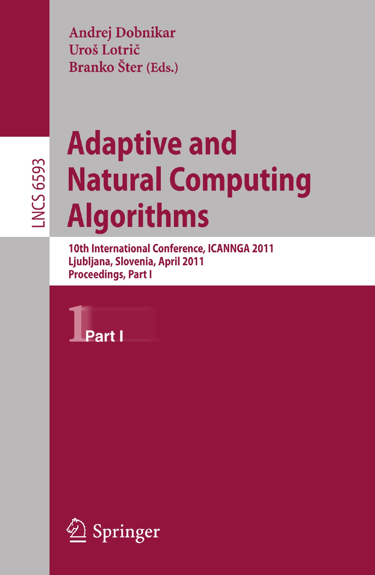Andrej Dobnikar Uroš Lotrič Branko Šter (Eds.)

# **Adaptive and Natural Computing Algorithms**

10th International Conference, ICANNGA 2011 Ljubljana, Slovenia, April 2011 **Proceedings, Part I** 



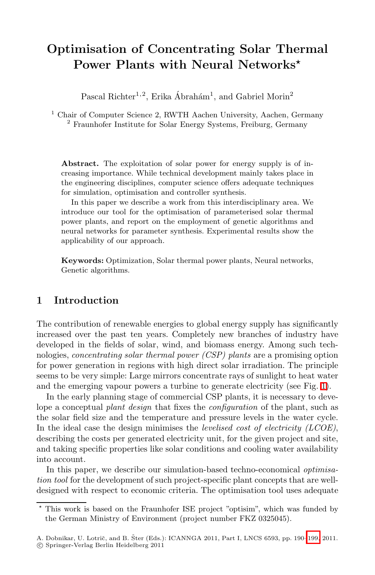# Optimisation of Concentrating Solar Thermal Power Plants with Neural Networks\*

Pascal Richter<sup>1,2</sup>, Erika Ábrahám<sup>1</sup>, and Gabriel Morin<sup>2</sup>

<sup>1</sup> Chair of Computer Science 2, RWTH Aachen University, Aachen, Germany <sup>2</sup> Fraunhofer Institute for Solar Energy Systems, Freiburg, Germany

Abstract. The exploitation of solar power for energy supply is of increasing importance. While technical development mainly takes place in the engineering disciplines, computer science offers adequate techniques for simulation, optimisation and controller synthesis.

In this paper we describe a work from this interdisciplinary area. We introduce our tool for the optimisation of parameterised solar thermal power plants, and report on the employment of genetic algorithms and neural networks for parameter synthesis. Experimental results show the applicability of our approach.

Keywords: Optimization, Solar thermal power plants, Neural networks, Genetic algorithms.

# 1 Introduction

The contribution of renewable energies to global energy supply has significantly increased over the past ten years. Completely new branches of industry have developed in the fields of solar, wind, and biomass energy. Among such technologies, *concentrating solar thermal power (CSP) plants* are a promising option for power generation in regions with high direct solar irradiation. The principle seems to be very simple: Large mirrors concentrate rays of sunlight to heat water and the emerging vapour powers a turbine to generate electricity (see Fig.  $\blacksquare$ ).

In the early planning stage of commercial CSP plants, it is necessary to develope a conceptual *plant design* that fixes the *configuration* of the plant, such as the solar field size and the temperature and pressure levels in the water cycle. In the ideal case the design minimises the *levelised cost of electricity (LCOE)*, describing the costs per generated electricity unit, for the given project and site, and taking specific properties like solar conditions and cooling water availability into account.

In this paper, we describe our simulation-based techno-economical *optimisation tool* for the development of such project-specific plant concepts that are welldesigned with respect to economic criteria. The optimisation tool uses adequate

<sup>!</sup> This work is based on the Fraunhofer ISE project "optisim", which was funded by the German Ministry of Environment (project number FKZ 0325045).

A. Dobnikar, U. Lotrič, and B. Šter (Eds.): ICANNGA 2011, Part I, LNCS 6593, pp. 190-199, 2011.  $\circ$  Springer-Verlag Berlin Heidelberg 2011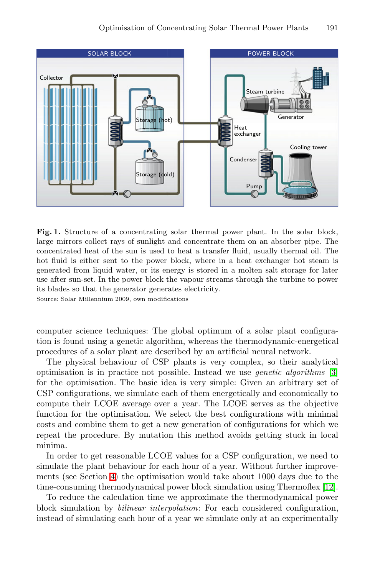

Fig. 1. Structure of a concentrating solar thermal power plant. In the solar block, large mirrors collect rays of sunlight and concentrate them on an absorber pipe. The concentrated heat of the sun is used to heat a transfer fluid, usually thermal oil. The hot fluid is either sent to the power block, where in a heat exchanger hot steam is generated from liquid water, or its energy is stored in a molten salt storage for later use after sun-set. In the power block the vapour streams through the turbine to power its blades so that the generator generates electricity.

Source: Solar Millennium 2009, own modifications

computer science techniques: The global optimum of a solar plant configuration is found using a genetic algorithm, whereas the thermodynamic-energetical procedures of a solar plant are described by an artificial neural network.

The physical behaviour of CSP plants is very complex, so their analytical optimisation is in practice not possible. Instead we use *genetic algorithms* [\[3\]](#page--1-2) for the optimisation. The basic idea is very simple: Given an arbitrary set of CSP configurations, we simulate each of them energetically and economically to compute their LCOE average over a year. The LCOE serves as the objective function for the optimisation. We select the best configurations with minimal costs and combine them to get a new generation of configurations for which we repeat the procedure. By mutation this method avoids getting stuck in local minima.

In order to get reasonable LCOE values for a CSP configuration, we need to simulate the plant behaviour for each hour of a year. Without further improvements (see Section  $\mathbf{I}$ ) the optimisation would take about 1000 days due to the time-consuming thermodynamical power block simulation using Thermoflex  $[12]$ .

To reduce the calculation time we approximate the thermodynamical power block simulation by *bilinear interpolation*: For each considered configuration, instead of simulating each hour of a year we simulate only at an experimentally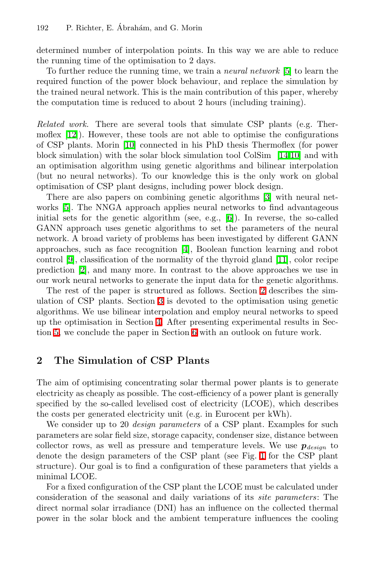determined number of interpolation points. In this way we are able to reduce the running time of the optimisation to 2 days.

To further reduce the running time, we train a *neural network* [\[5\]](#page--1-5) to learn the required function of the power block behaviour, and replace the simulation by the trained neural network. This is the main contribution of this paper, whereby the computation time is reduced to about 2 hours (including training).

*Related work.* There are several tools that simulate CSP plants (e.g. Thermoflex  $[12]$ . However, these tools are not able to optimise the configurations of CSP plants. Morin [\[10\]](#page--1-6) connected in his PhD thesis Thermoflex (for power block simulation) with the solar block simulation tool ColSim [\[14,](#page--1-7)[10\]](#page--1-6) and with an optimisation algorithm using genetic algorithms and bilinear interpolation (but no neural networks). To our knowledge this is the only work on global optimisation of CSP plant designs, including power block design.

There are also papers on combining genetic algorithms **3** with neural networks  $\overline{5}$ . The NNGA approach applies neural networks to find advantageous initial sets for the genetic algorithm (see, e.g.,  $[6]$ ). In reverse, the so-called GANN approach uses genetic algorithms to set the parameters of the neural network. A broad variety of problems has been investigated by different GANN approaches, such as face recognition  $\mathbb{I}$ , Boolean function learning and robot control  $[9]$ , classification of the normality of the thyroid gland  $[11]$ , color recipe prediction [\[2\]](#page--1-12), and many more. In contrast to the above approaches we use in our work neural networks to generate the input data for the genetic algorithms.

The rest of the paper is structured as follows. Section  $\overline{2}$  $\overline{2}$  $\overline{2}$  describes the simulation of CSP plants. Section  $\mathbf{\mathbb{S}}$  is devoted to the optimisation using genetic algorithms. We use bilinear interpolation and employ neural networks to speed up the optimisation in Section  $\overline{a}$ . After presenting experimental results in Section  $5$ , we conclude the paper in Section  $6$  with an outlook on future work.

### 2 The Simulation of CSP Plants

The aim of optimising concentrating solar thermal power plants is to generate electricity as cheaply as possible. The cost-efficiency of a power plant is generally specified by the so-called levelised cost of electricity (LCOE), which describes the costs per generated electricity unit (e.g. in Eurocent per kWh).

We consider up to 20 *design parameters* of a CSP plant. Examples for such parameters are solar field size, storage capacity, condenser size, distance between collector rows, as well as pressure and temperature levels. We use  $p_{design}$  to denote the design parameters of the CSP plant (see Fig.  $\Box$  for the CSP plant structure). Our goal is to find a configuration of these parameters that yields a minimal LCOE.

For a fixed configuration of the CSP plant the LCOE must be calculated under consideration of the seasonal and daily variations of its *site parameters*: The direct normal solar irradiance (DNI) has an influence on the collected thermal power in the solar block and the ambient temperature influences the cooling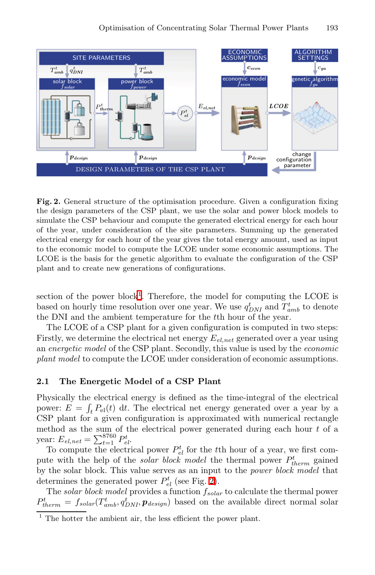

Fig. 2. General structure of the optimisation procedure. Given a configuration fixing the design parameters of the CSP plant, we use the solar and power block models to simulate the CSP behaviour and compute the generated electrical energy for each hour of the year, under consideration of the site parameters. Summing up the generated electrical energy for each hour of the year gives the total energy amount, used as input to the economic model to compute the LCOE under some economic assumptions. The LCOE is the basis for the genetic algorithm to evaluate the configuration of the CSP plant and to create new generations of configurations.

section of the power block<sup>[1](#page--1-15)</sup>. Therefore, the model for computing the LCOE is based on hourly time resolution over one year. We use  $q_{DNI}^t$  and  $T_{amb}^t$  to denote the DNI and the ambient temperature for the *t*th hour of the year.

The LCOE of a CSP plant for a given configuration is computed in two steps: Firstly, we determine the electrical net energy *Eel,net* generated over a year using an *energetic model* of the CSP plant. Secondly, this value is used by the *economic plant model* to compute the LCOE under consideration of economic assumptions.

#### 2.1 The Energetic Model of a CSP Plant

Physically the electrical energy is defined as the time-integral of the electrical power:  $E = \int_t P_{\text{el}}(t) dt$ . The electrical net energy generated over a year by a CSP plant for a given configuration is approximated with numerical rectangle method as the sum of the electrical power generated during each hour *t* of a year:  $E_{el,net} = \sum_{t=1}^{8760} P_{el}^{t}$ .

To compute the electrical power  $P_{el}^t$  for the *t*<sup>th</sup> hour of a year, we first compute with the help of the *solar block model* the thermal power *P<sup>t</sup> therm* gained by the solar block. This value serves as an input to the *power block model* that determines the generated power  $P_{el}^t$  (see Fig. [2\)](#page--1-16).

The *solar block model* provides a function *fsolar* to calculate the thermal power  $P_{therm}^{t} = f_{solar}(T_{amb}^{t}, q_{DNI}^{t}, p_{design})$  based on the available direct normal solar

 $^{\rm 1}$  The hotter the ambient air, the less efficient the power plant.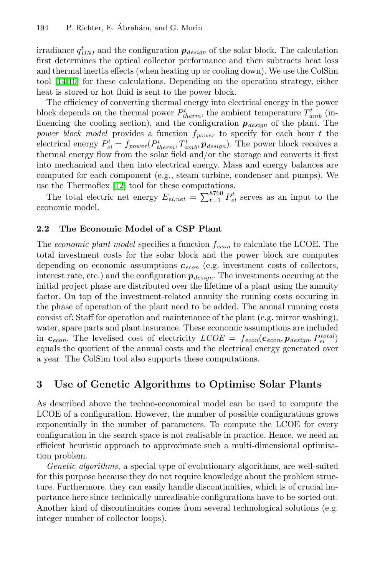irradiance  $q_{DNI}^t$  and the configuration  $p_{design}$  of the solar block. The calculation first determines the optical collector performance and then subtracts heat loss and thermal inertia effects (when heating up or cooling down). We use the ColSim tool [\[14](#page--1-7)[,10\]](#page--1-6) for these calculations. Depending on the operation strategy, either heat is stored or hot fluid is sent to the power block.

The efficiency of converting thermal energy into electrical energy in the power block depends on the thermal power  $P_{therm}^{t}$ , the ambient temperature  $T_{amb}^{t}$  (influencing the cooling section), and the configuration *pdesign* of the plant. The *power block model* provides a function *fpower* to specify for each hour *t* the electrical energy  $P_{el}^t = f_{power}(P_{therm}^t, T_{amb}^t, p_{design})$ . The power block receives a thermal energy flow from the solar field and/or the storage and converts it first into mechanical and then into electrical energy. Mass and energy balances are computed for each component (e.g., steam turbine, condenser and pumps). We use the Thermoflex  $\boxed{12}$  tool for these computations.

The total electric net energy  $E_{el,net} = \sum_{t=1}^{8760} P_{el}^t$  serves as an input to the economic model.

#### 2.2 The Economic Model of a CSP Plant

The *economic plant model* specifies a function *fecon* to calculate the LCOE. The total investment costs for the solar block and the power block are computes depending on economic assumptions *cecon* (e.g. investment costs of collectors, interest rate, etc.) and the configuration *pdesign*. The investments occuring at the initial project phase are distributed over the lifetime of a plant using the annuity factor. On top of the investment-related annuity the running costs occuring in the phase of operation of the plant need to be added. The annual running costs consist of: Staff for operation and maintenance of the plant (e.g. mirror washing), water, spare parts and plant insurance. These economic assumptions are included in  $c_{econ}$ . The levelised cost of electricity  $LCOE = f_{econ}(c_{econ}, p_{design}, P_{el}^{total})$ equals the quotient of the annual costs and the electrical energy generated over a year. The ColSim tool also supports these computations.

# 3 Use of Genetic Algorithms to Optimise Solar Plants

As described above the techno-economical model can be used to compute the LCOE of a configuration. However, the number of possible configurations grows exponentially in the number of parameters. To compute the LCOE for every configuration in the search space is not realisable in practice. Hence, we need an efficient heuristic approach to approximate such a multi-dimensional optimisation problem.

*Genetic algorithms*, a special type of evolutionary algorithms, are well-suited for this purpose because they do not require knowledge about the problem structure. Furthermore, they can easily handle discontinuities, which is of crucial importance here since technically unrealisable configurations have to be sorted out. Another kind of discontinuities comes from several technological solutions (e.g. integer number of collector loops).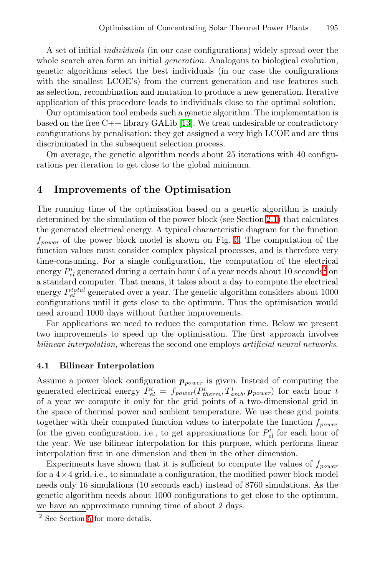A set of initial *individuals* (in our case configurations) widely spread over the whole search area form an initial *generation*. Analogous to biological evolution, genetic algorithms select the best individuals (in our case the configurations with the smallest LCOE's) from the current generation and use features such as selection, recombination and mutation to produce a new generation. Iterative application of this procedure leads to individuals close to the optimal solution.

Our optimisation tool embeds such a genetic algorithm. The implementation is based on the free  $C_{++}$  library GALib  $\boxed{13}$ . We treat undesirable or contradictory configurations by penalisation: they get assigned a very high LCOE and are thus discriminated in the subsequent selection process.

On average, the genetic algorithm needs about 25 iterations with 40 configurations per iteration to get close to the global minimum.

## 4 Improvements of the Optimisation

The running time of the optimisation based on a genetic algorithm is mainly determined by the simulation of the power block (see Section  $[2,1]$ ) that calculates the generated electrical energy. A typical characteristic diagram for the function  $f_{power}$  of the power block model is shown on Fig.  $\boxed{3}$ . The computation of the function values must consider complex physical processes, and is therefore very time-consuming. For a single configuration, the computation of the electrical energy  $P_{el}^i$  generated during a certain hour *i* of a year needs about 10 seconds<sup>[2](#page--1-20)</sup> on a standard computer. That means, it takes about a day to compute the electrical energy  $P_{el}^{total}$  generated over a year. The genetic algorithm considers about 1000 configurations until it gets close to the optimum. Thus the optimisation would need around 1000 days without further improvements.

For applications we need to reduce the computation time. Below we present two improvements to speed up the optimisation. The first approach involves *bilinear interpolation*, whereas the second one employs *artificial neural networks*.

#### 4.1 Bilinear Interpolation

Assume a power block configuration *ppower* is given. Instead of computing the generated electrical energy  $P_{el}^t = f_{power}(P_{therm}^t, T_{amb}^t, p_{power})$  for each hour *t* of a year we compute it only for the grid points of a two-dimensional grid in the space of thermal power and ambient temperature. We use these grid points together with their computed function values to interpolate the function *fpower* for the given configuration, i.e., to get approximations for  $P_{el}^t$  for each hour of the year. We use bilinear interpolation for this purpose, which performs linear interpolation first in one dimension and then in the other dimension.

Experiments have shown that it is sufficient to compute the values of *fpower* for a  $4\times4$  grid, i.e., to simualate a configuration, the modified power block model needs only 16 simulations (10 seconds each) instead of 8760 simulations. As the genetic algorithm needs about 1000 configurations to get close to the optimum, we have an approximate running time of about 2 days.

 $2$  See Section  $5$  for more details.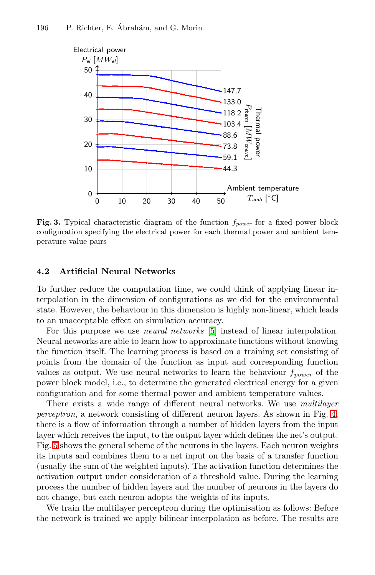

Fig. 3. Typical characteristic diagram of the function *fpower* for a fixed power block configuration specifying the electrical power for each thermal power and ambient temperature value pairs

#### 4.2 Artificial Neural Networks

To further reduce the computation time, we could think of applying linear interpolation in the dimension of configurations as we did for the environmental state. However, the behaviour in this dimension is highly non-linear, which leads to an unacceptable effect on simulation accuracy.

For this purpose we use *neural networks* [\[5\]](#page--1-5) instead of linear interpolation. Neural networks are able to learn how to approximate functions without knowing the function itself. The learning process is based on a training set consisting of points from the domain of the function as input and corresponding function values as output. We use neural networks to learn the behaviour *fpower* of the power block model, i.e., to determine the generated electrical energy foragiven configuration and for some thermal power and ambient temperature values.

There exists a wide range of different neural networks. We use *multilayer perceptron*, a network consisting of different neuron layers. As shown in Fig.  $\mathbf{I}$ there is a flow of information through a number of hidden layers from the input layer which receives the input, to the output layer which defines the net's output. Fig. **5** shows the general scheme of the neurons in the layers. Each neuron weights its inputs and combines them to a net input on the basis of a transfer function (usually the sum of the weighted inputs). The activation function determines the activation output under consideration of a threshold value. During the learning process the number of hidden layers and the number of neurons in the layers do not change, but each neuron adopts the weights of its inputs.

We train the multilayer perceptron during the optimisation as follows: Before the network is trained we apply bilinear interpolation as before. The results are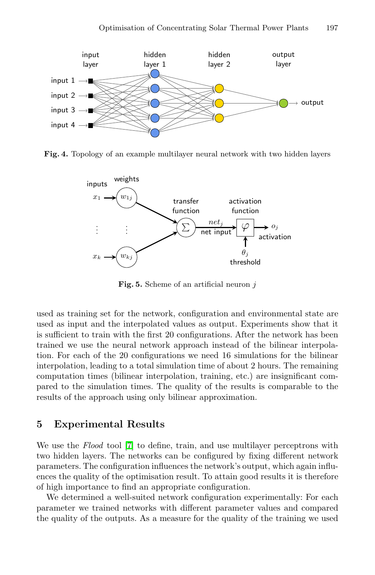

Fig. 4. Topology of an example multilayer neural network with two hidden layers



Fig. 5. Scheme of an artificial neuron *j*

used as training set for the network, configuration and environmental state are used as input and the interpolated values as output. Experiments show that it is sufficient to train with the first 20 configurations. After the network has been trained we use the neural network approach instead of the bilinear interpolation. For each of the 20 configurations we need 16 simulations for the bilinear interpolation, leading to a total simulation time of about 2 hours. The remaining computation times (bilinear interpolation, training, etc.) are insignificant compared to the simulation times. The quality of the results is comparable to the results of the approach using only bilinear approximation.

#### 5 Experimental Results

We use the *Flood* tool **7** to define, train, and use multilayer perceptrons with two hidden layers. The networks can be configured by fixing different network parameters. The configuration influences the network's output, which again influences the quality of the optimisation result. To attain good results it is therefore of high importance to find an appropriate configuration.

We determined a well-suited network configuration experimentally: For each parameter we trained networks with different parameter values and compared the quality of the outputs. As a measure for the quality of the training we used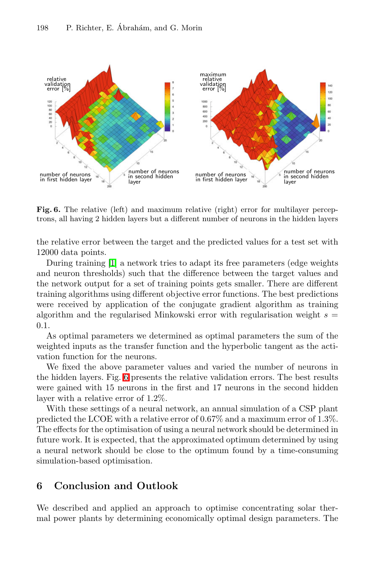

Fig. 6. The relative (left) and maximum relative (right) error for multilayer perceptrons, all having 2 hidden layers but a different number of neurons in the hidden layers

the relative error between the target and the predicted values for a test set with 12000 data points.

During training  $\prod$  a network tries to adapt its free parameters (edge weights and neuron thresholds) such that the difference between the target values and the network output for a set of training points gets smaller. There are different training algorithms using different objective error functions. The best predictions were received by application of the conjugate gradient algorithm as training algorithm and the regularised Minkowski error with regularisation weight  $s =$ 0*.*1.

As optimal parameters we determined as optimal parameters the sum of the weighted inputs as the transfer function and the hyperbolic tangent as the activation function for the neurons.

We fixed the above parameter values and varied the number of neurons in the hidden layers. Fig.  $\overline{6}$  presents the relative validation errors. The best results were gained with 15 neurons in the first and 17 neurons in the second hidden layer with a relative error of 1*.*2%.

With these settings of a neural network, an annual simulation of a CSP plant predicted the LCOE with a relative error of 0.67% and a maximum error of 1.3%. The effects for the optimisation of using a neural network should be determined in future work. It is expected, that the approximated optimum determined by using a neural network should be close to the optimum found by a time-consuming simulation-based optimisation.

#### 6 Conclusion and Outlook

We described and applied an approach to optimise concentrating solar thermal power plants by determining economically optimal design parameters. The